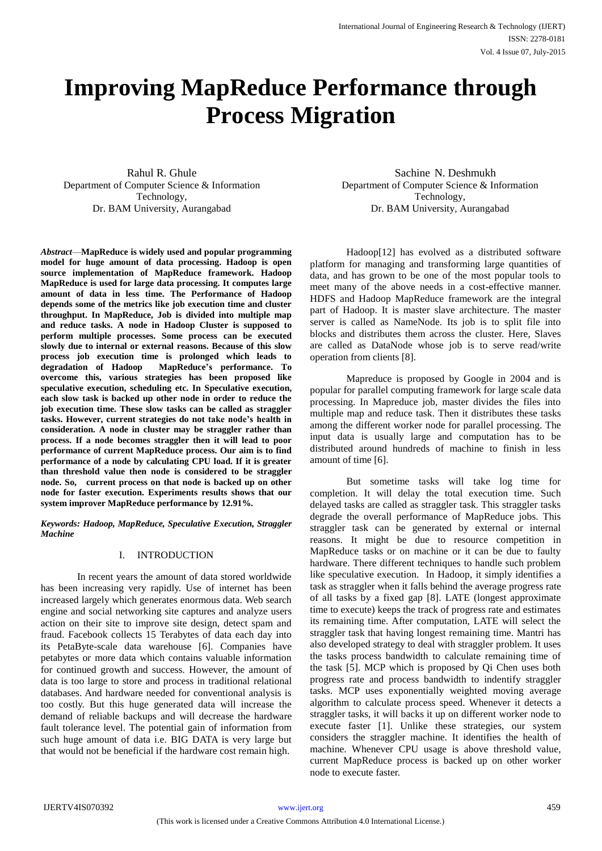# **Improving MapReduce Performance through Process Migration**

Rahul R. Ghule Department of Computer Science & Information Technology, Dr. BAM University, Aurangabad

*Abstract*—**MapReduce is widely used and popular programming model for huge amount of data processing. Hadoop is open source implementation of MapReduce framework. Hadoop MapReduce is used for large data processing. It computes large amount of data in less time. The Performance of Hadoop depends some of the metrics like job execution time and cluster throughput. In MapReduce, Job is divided into multiple map and reduce tasks. A node in Hadoop Cluster is supposed to perform multiple processes. Some process can be executed slowly due to internal or external reasons. Because of this slow process job execution time is prolonged which leads to degradation of Hadoop MapReduce's performance. To overcome this, various strategies has been proposed like speculative execution, scheduling etc. In Speculative execution, each slow task is backed up other node in order to reduce the job execution time. These slow tasks can be called as straggler tasks. However, current strategies do not take node's health in consideration. A node in cluster may be straggler rather than process. If a node becomes straggler then it will lead to poor performance of current MapReduce process. Our aim is to find performance of a node by calculating CPU load. If it is greater than threshold value then node is considered to be straggler node. So, current process on that node is backed up on other node for faster execution. Experiments results shows that our system improver MapReduce performance by 12.91%.**

*Keywords: Hadoop, MapReduce, Speculative Execution, Straggler Machine*

# I. INTRODUCTION

In recent years the amount of data stored worldwide has been increasing very rapidly. Use of internet has been increased largely which generates enormous data. Web search engine and social networking site captures and analyze users action on their site to improve site design, detect spam and fraud. Facebook collects 15 Terabytes of data each day into its PetaByte-scale data warehouse [6]. Companies have petabytes or more data which contains valuable information for continued growth and success. However, the amount of data is too large to store and process in traditional relational databases. And hardware needed for conventional analysis is too costly. But this huge generated data will increase the demand of reliable backups and will decrease the hardware fault tolerance level. The potential gain of information from such huge amount of data i.e. BIG DATA is very large but that would not be beneficial if the hardware cost remain high.

 Sachine N. Deshmukh Department of Computer Science & Information Technology, Dr. BAM University, Aurangabad

Hadoop[12] has evolved as a distributed software platform for managing and transforming large quantities of data, and has grown to be one of the most popular tools to meet many of the above needs in a cost-effective manner. HDFS and Hadoop MapReduce framework are the integral part of Hadoop. It is master slave architecture. The master server is called as NameNode. Its job is to split file into blocks and distributes them across the cluster. Here, Slaves are called as DataNode whose job is to serve read/write operation from clients [8].

Mapreduce is proposed by Google in 2004 and is popular for parallel computing framework for large scale data processing. In Mapreduce job, master divides the files into multiple map and reduce task. Then it distributes these tasks among the different worker node for parallel processing. The input data is usually large and computation has to be distributed around hundreds of machine to finish in less amount of time [6].

But sometime tasks will take log time for completion. It will delay the total execution time. Such delayed tasks are called as straggler task. This straggler tasks degrade the overall performance of MapReduce jobs. This straggler task can be generated by external or internal reasons. It might be due to resource competition in MapReduce tasks or on machine or it can be due to faulty hardware. There different techniques to handle such problem like speculative execution. In Hadoop, it simply identifies a task as straggler when it falls behind the average progress rate of all tasks by a fixed gap [8]. LATE (longest approximate time to execute) keeps the track of progress rate and estimates its remaining time. After computation, LATE will select the straggler task that having longest remaining time. Mantri has also developed strategy to deal with straggler problem. It uses the tasks process bandwidth to calculate remaining time of the task [5]. MCP which is proposed by Qi Chen uses both progress rate and process bandwidth to indentify straggler tasks. MCP uses exponentially weighted moving average algorithm to calculate process speed. Whenever it detects a straggler tasks, it will backs it up on different worker node to execute faster [1]. Unlike these strategies, our system considers the straggler machine. It identifies the health of machine. Whenever CPU usage is above threshold value, current MapReduce process is backed up on other worker node to execute faster.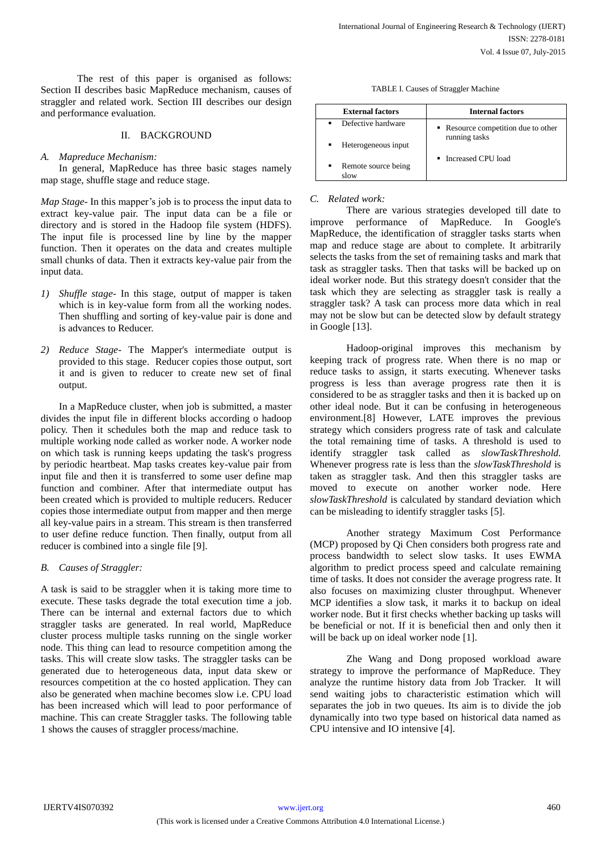The rest of this paper is organised as follows: Section II describes basic MapReduce mechanism, causes of straggler and related work. Section III describes our design and performance evaluation.

## II. BACKGROUND

## *A. Mapreduce Mechanism:*

In general, MapReduce has three basic stages namely map stage, shuffle stage and reduce stage.

*Map Stage-* In this mapper's job is to process the input data to extract key-value pair. The input data can be a file or directory and is stored in the Hadoop file system (HDFS). The input file is processed line by line by the mapper function. Then it operates on the data and creates multiple small chunks of data. Then it extracts key-value pair from the input data.

- *1) Shuffle stage-* In this stage, output of mapper is taken which is in key-value form from all the working nodes. Then shuffling and sorting of key-value pair is done and is advances to Reducer.
- *2) Reduce Stage-* The Mapper's intermediate output is provided to this stage. Reducer copies those output, sort it and is given to reducer to create new set of final output.

In a MapReduce cluster, when job is submitted, a master divides the input file in different blocks according o hadoop policy. Then it schedules both the map and reduce task to multiple working node called as worker node. A worker node on which task is running keeps updating the task's progress by periodic heartbeat. Map tasks creates key-value pair from input file and then it is transferred to some user define map function and combiner. After that intermediate output has been created which is provided to multiple reducers. Reducer copies those intermediate output from mapper and then merge all key-value pairs in a stream. This stream is then transferred to user define reduce function. Then finally, output from all reducer is combined into a single file [9].

#### *B. Causes of Straggler:*

A task is said to be straggler when it is taking more time to execute. These tasks degrade the total execution time a job. There can be internal and external factors due to which straggler tasks are generated. In real world, MapReduce cluster process multiple tasks running on the single worker node. This thing can lead to resource competition among the tasks. This will create slow tasks. The straggler tasks can be generated due to heterogeneous data, input data skew or resources competition at the co hosted application. They can also be generated when machine becomes slow i.e. CPU load has been increased which will lead to poor performance of machine. This can create Straggler tasks. The following table 1 shows the causes of straggler process/machine.

TABLE I. Causes of Straggler Machine

| <b>External factors</b>          | <b>Internal factors</b>                              |
|----------------------------------|------------------------------------------------------|
| Defective hardware               | • Resource competition due to other<br>running tasks |
| Heterogeneous input              |                                                      |
| Remote source being<br>٠<br>slow | • Increased CPU load                                 |

#### *C. Related work:*

There are various strategies developed till date to improve performance of MapReduce. In Google's MapReduce, the identification of straggler tasks starts when map and reduce stage are about to complete. It arbitrarily selects the tasks from the set of remaining tasks and mark that task as straggler tasks. Then that tasks will be backed up on ideal worker node. But this strategy doesn't consider that the task which they are selecting as straggler task is really a straggler task? A task can process more data which in real may not be slow but can be detected slow by default strategy in Google [13].

Hadoop-original improves this mechanism by keeping track of progress rate. When there is no map or reduce tasks to assign, it starts executing. Whenever tasks progress is less than average progress rate then it is considered to be as straggler tasks and then it is backed up on other ideal node. But it can be confusing in heterogeneous environment.[8] However, LATE improves the previous strategy which considers progress rate of task and calculate the total remaining time of tasks. A threshold is used to identify straggler task called as *slowTaskThreshold.*  Whenever progress rate is less than the *slowTaskThreshold* is taken as straggler task. And then this straggler tasks are moved to execute on another worker node. Here *slowTaskThreshold* is calculated by standard deviation which can be misleading to identify straggler tasks [5].

Another strategy Maximum Cost Performance (MCP) proposed by Qi Chen considers both progress rate and process bandwidth to select slow tasks. It uses EWMA algorithm to predict process speed and calculate remaining time of tasks. It does not consider the average progress rate. It also focuses on maximizing cluster throughput. Whenever MCP identifies a slow task, it marks it to backup on ideal worker node. But it first checks whether backing up tasks will be beneficial or not. If it is beneficial then and only then it will be back up on ideal worker node [1].

Zhe Wang and Dong proposed workload aware strategy to improve the performance of MapReduce. They analyze the runtime history data from Job Tracker. It will send waiting jobs to characteristic estimation which will separates the job in two queues. Its aim is to divide the job dynamically into two type based on historical data named as CPU intensive and IO intensive [4].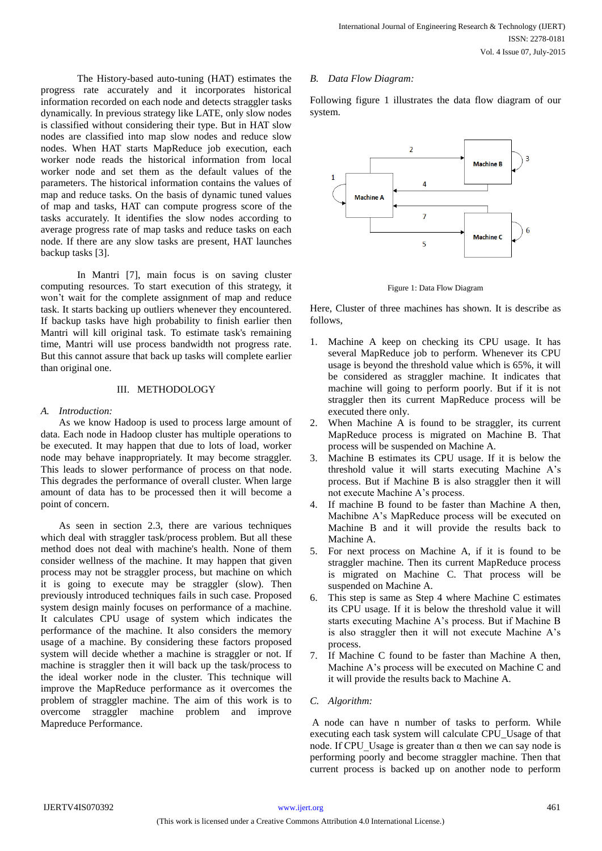The History-based auto-tuning (HAT) estimates the progress rate accurately and it incorporates historical information recorded on each node and detects straggler tasks dynamically. In previous strategy like LATE, only slow nodes is classified without considering their type. But in HAT slow nodes are classified into map slow nodes and reduce slow nodes. When HAT starts MapReduce job execution, each worker node reads the historical information from local worker node and set them as the default values of the parameters. The historical information contains the values of map and reduce tasks. On the basis of dynamic tuned values of map and tasks, HAT can compute progress score of the tasks accurately. It identifies the slow nodes according to average progress rate of map tasks and reduce tasks on each node. If there are any slow tasks are present, HAT launches backup tasks [3].

In Mantri [7], main focus is on saving cluster computing resources. To start execution of this strategy, it won't wait for the complete assignment of map and reduce task. It starts backing up outliers whenever they encountered. If backup tasks have high probability to finish earlier then Mantri will kill original task. To estimate task's remaining time, Mantri will use process bandwidth not progress rate. But this cannot assure that back up tasks will complete earlier than original one.

## III. METHODOLOGY

## *A. Introduction:*

As we know Hadoop is used to process large amount of data. Each node in Hadoop cluster has multiple operations to be executed. It may happen that due to lots of load, worker node may behave inappropriately. It may become straggler. This leads to slower performance of process on that node. This degrades the performance of overall cluster. When large amount of data has to be processed then it will become a point of concern.

As seen in section 2.3, there are various techniques which deal with straggler task/process problem. But all these method does not deal with machine's health. None of them consider wellness of the machine. It may happen that given process may not be straggler process, but machine on which it is going to execute may be straggler (slow). Then previously introduced techniques fails in such case. Proposed system design mainly focuses on performance of a machine. It calculates CPU usage of system which indicates the performance of the machine. It also considers the memory usage of a machine. By considering these factors proposed system will decide whether a machine is straggler or not. If machine is straggler then it will back up the task/process to the ideal worker node in the cluster. This technique will improve the MapReduce performance as it overcomes the problem of straggler machine. The aim of this work is to overcome straggler machine problem and improve Mapreduce Performance.

#### *B. Data Flow Diagram:*

Following figure 1 illustrates the data flow diagram of our system.



Figure 1: Data Flow Diagram

Here, Cluster of three machines has shown. It is describe as follows,

- 1. Machine A keep on checking its CPU usage. It has several MapReduce job to perform. Whenever its CPU usage is beyond the threshold value which is 65%, it will be considered as straggler machine. It indicates that machine will going to perform poorly. But if it is not straggler then its current MapReduce process will be executed there only.
- 2. When Machine A is found to be straggler, its current MapReduce process is migrated on Machine B. That process will be suspended on Machine A.
- 3. Machine B estimates its CPU usage. If it is below the threshold value it will starts executing Machine A's process. But if Machine B is also straggler then it will not execute Machine A's process.
- 4. If machine B found to be faster than Machine A then, Machibne A's MapReduce process will be executed on Machine B and it will provide the results back to Machine A.
- 5. For next process on Machine A, if it is found to be straggler machine. Then its current MapReduce process is migrated on Machine C. That process will be suspended on Machine A.
- 6. This step is same as Step 4 where Machine C estimates its CPU usage. If it is below the threshold value it will starts executing Machine A's process. But if Machine B is also straggler then it will not execute Machine A's process.
- 7. If Machine C found to be faster than Machine A then, Machine A's process will be executed on Machine C and it will provide the results back to Machine A.

# *C. Algorithm:*

A node can have n number of tasks to perform. While executing each task system will calculate CPU\_Usage of that node. If CPU Usage is greater than  $\alpha$  then we can say node is performing poorly and become straggler machine. Then that current process is backed up on another node to perform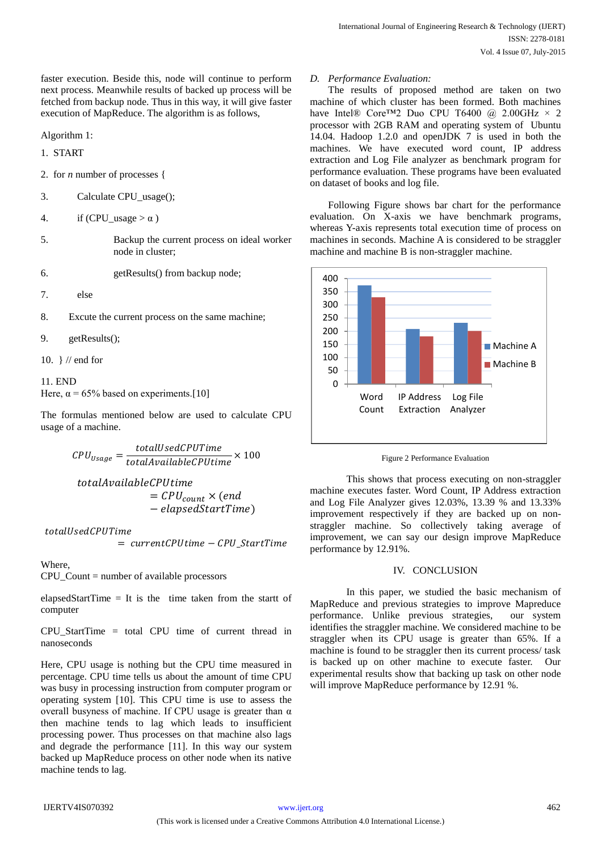faster execution. Beside this, node will continue to perform next process. Meanwhile results of backed up process will be fetched from backup node. Thus in this way, it will give faster execution of MapReduce. The algorithm is as follows,

Algorithm 1:

1. START

2. for *n* number of processes {

3. Calculate CPU\_usage();

- 4. if (CPU usage  $>\alpha$ )
- 5. Backup the current process on ideal worker node in cluster;

6. getResults() from backup node;

7. else

8. Excute the current process on the same machine;

9. getResults();

10. } // end for

11. END Here,  $\alpha$  = 65% based on experiments.[10]

The formulas mentioned below are used to calculate CPU usage of a machine.

 $\mathcal{C}\mathit{PU}_{\mathit{Usage}} = \frac{\mathit{totalUsedCPUTime}}{\mathit{totalAvailableCPUtime}} \times 100$ 

totalAvailableCPUtime  $=$   $\mathcal{C}PU_{count}$   $\times$  (end − elapsedStartTime)

totalUsedCPUTime

 $= currentCPU time - CPU_StartTime$ 

Where,

CPU\_Count = number of available processors

elapsedStartTime = It is the time taken from the startt of computer

CPU\_StartTime = total CPU time of current thread in nanoseconds

Here, CPU usage is nothing but the CPU time measured in percentage. CPU time tells us about the amount of time CPU was busy in processing instruction from computer program or operating system [10]. This CPU time is use to assess the overall busyness of machine. If CPU usage is greater than  $\alpha$ then machine tends to lag which leads to insufficient processing power. Thus processes on that machine also lags and degrade the performance [11]. In this way our system backed up MapReduce process on other node when its native machine tends to lag.

# *D. Performance Evaluation:*

The results of proposed method are taken on two machine of which cluster has been formed. Both machines have Intel® Core™2 Duo CPU T6400 @ 2.00GHz  $\times$  2 processor with 2GB RAM and operating system of Ubuntu 14.04. Hadoop 1.2.0 and openJDK 7 is used in both the machines. We have executed word count, IP address extraction and Log File analyzer as benchmark program for performance evaluation. These programs have been evaluated on dataset of books and log file.

Following Figure shows bar chart for the performance evaluation. On X-axis we have benchmark programs, whereas Y-axis represents total execution time of process on machines in seconds. Machine A is considered to be straggler machine and machine B is non-straggler machine.



Figure 2 Performance Evaluation

This shows that process executing on non-straggler machine executes faster. Word Count, IP Address extraction and Log File Analyzer gives 12.03%, 13.39 % and 13.33% improvement respectively if they are backed up on nonstraggler machine. So collectively taking average of improvement, we can say our design improve MapReduce performance by 12.91%.

## IV. CONCLUSION

In this paper, we studied the basic mechanism of MapReduce and previous strategies to improve Mapreduce performance. Unlike previous strategies, our system identifies the straggler machine. We considered machine to be straggler when its CPU usage is greater than 65%. If a machine is found to be straggler then its current process/ task is backed up on other machine to execute faster. Our experimental results show that backing up task on other node will improve MapReduce performance by 12.91 %.